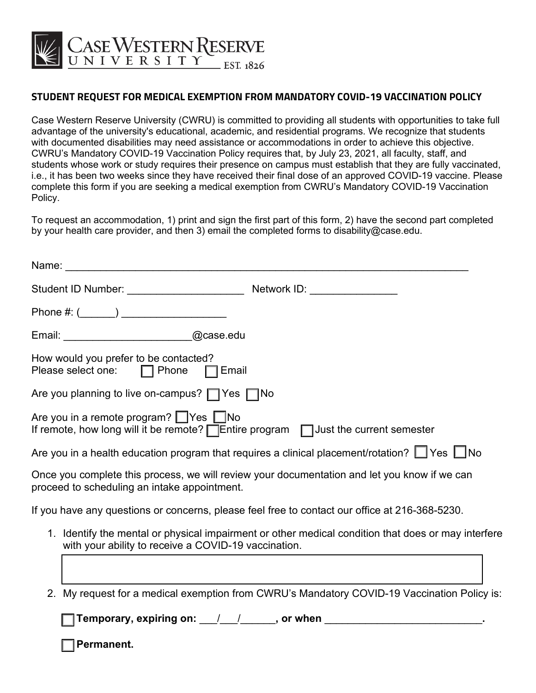

## **STUDENT REQUEST FOR MEDICAL EXEMPTION FROM MANDATORY COVID-19 VACCINATION POLICY**

Case Western Reserve University (CWRU) is committed to providing all students with opportunities to take full advantage of the university's educational, academic, and residential programs. We recognize that students with documented disabilities may need assistance or accommodations in order to achieve this objective. CWRU's Mandatory COVID-19 Vaccination Policy requires that, by July 23, 2021, all faculty, staff, and students whose work or study requires their presence on campus must establish that they are fully vaccinated, i.e., it has been two weeks since they have received their final dose of an approved COVID-19 vaccine. Please complete this form if you are seeking a medical exemption from CWRU's Mandatory COVID-19 Vaccination Policy.

To request an accommodation, 1) print and sign the first part of this form, 2) have the second part completed by your health care provider, and then 3) email the completed forms to disability@case.edu.

| Name:                                                                       |                                                                                                         |
|-----------------------------------------------------------------------------|---------------------------------------------------------------------------------------------------------|
|                                                                             |                                                                                                         |
|                                                                             |                                                                                                         |
| Email: ____________________________@case.edu                                |                                                                                                         |
| How would you prefer to be contacted?<br>Please select one: □ Phone □ Email |                                                                                                         |
| Are you planning to live on-campus? $\Box$ Yes $\Box$ No                    |                                                                                                         |
| Are you in a remote program? $\Box$ Yes $\Box$ No                           | If remote, how long will it be remote? $\Box$ Entire program $\Box$ Just the current semester           |
|                                                                             | Are you in a health education program that requires a clinical placement/rotation? $\Box$ Yes $\Box$ No |
| proceed to scheduling an intake appointment.                                | Once you complete this process, we will review your documentation and let you know if we can            |
|                                                                             | If you have any questions or concerns, please feel free to contact our office at 216-368-5230.          |
| with your ability to receive a COVID-19 vaccination.                        | 1. Identify the mental or physical impairment or other medical condition that does or may interfere     |
|                                                                             |                                                                                                         |
|                                                                             | 2. My request for a medical exemption from CWRU's Mandatory COVID-19 Vaccination Policy is:             |
|                                                                             | Temporary, expiring on: $\frac{1}{\sqrt{1-\frac{1}{2}}}\$ , or when $\frac{1}{\sqrt{1-\frac{1}{2}}}\$   |
| Permanent.                                                                  |                                                                                                         |